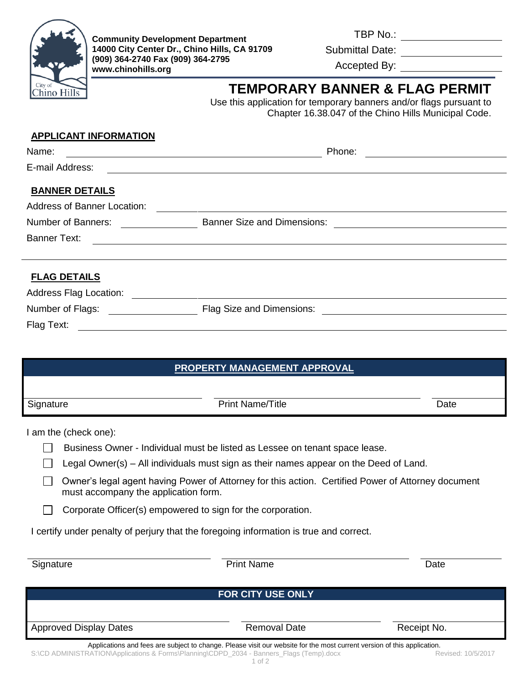

TBP No.: \_\_\_\_\_\_\_\_\_\_\_\_\_\_\_\_

Submittal Date: Website and Submittal Date:

Accepted By:

# **TEMPORARY BANNER & FLAG PERMIT**

Use this application for temporary banners and/or flags pursuant to Chapter 16.38.047 of the Chino Hills Municipal Code.

# **APPLICANT INFORMATION BANNER DETAILS FLAG DETAILS** Name: The example of the example of the example of the example of the Phone:  $\blacksquare$ E-mail Address: Address of Banner Location: Number of Banners: <u>Community Banner Size and Dimensions:</u> Banner Text: Address Flag Location: <u>Production:</u> Address Flag Location: 2007 Number of Flags: Flag Size and Dimensions: Flag Text:

| <b>PROPERTY MANAGEMENT APPROVAL</b> |                         |      |  |
|-------------------------------------|-------------------------|------|--|
|                                     |                         |      |  |
| Signature                           | <b>Print Name/Title</b> | Date |  |

I am the (check one):

- Business Owner Individual must be listed as Lessee on tenant space lease.
- Legal Owner(s) All individuals must sign as their names appear on the Deed of Land.
- Owner's legal agent having Power of Attorney for this action. Certified Power of Attorney document must accompany the application form.
- $\Box$  Corporate Officer(s) empowered to sign for the corporation.

I certify under penalty of perjury that the foregoing information is true and correct.

| Signature                                                                                | <b>Print Name</b>                                                                                                                   | Date               |  |  |
|------------------------------------------------------------------------------------------|-------------------------------------------------------------------------------------------------------------------------------------|--------------------|--|--|
| <b>FOR CITY USE ONLY</b>                                                                 |                                                                                                                                     |                    |  |  |
| <b>Approved Display Dates</b>                                                            | <b>Removal Date</b>                                                                                                                 | Receipt No.        |  |  |
| S:\CD ADMINISTRATION\Applications & Forms\Planning\CDPD_2034 - Banners_Flags (Temp).docx | Applications and fees are subject to change. Please visit our website for the most current version of this application.<br>1 of $2$ | Revised: 10/5/2017 |  |  |